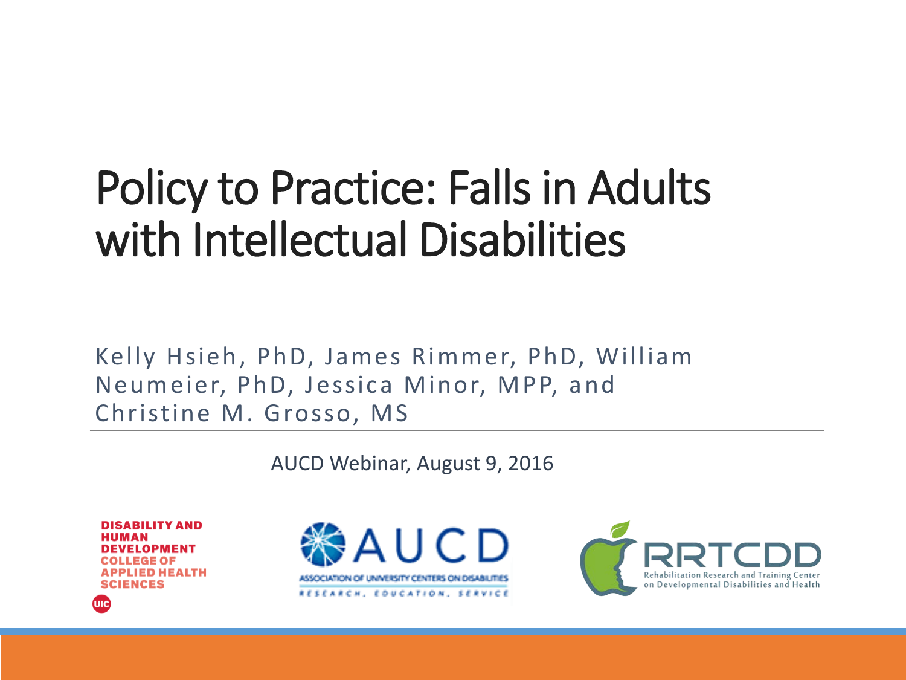#### Policy to Practice: Falls in Adults with Intellectual Disabilities

Kelly Hsieh, PhD, James Rimmer, PhD, William Neumeier, PhD, Jessica Minor, MPP, and Christine M. Grosso, MS

AUCD Webinar, August 9, 2016

**DISABILITY AND DEVELOPMENT** EGE OF **ED HEALTH SCIENCES** 

шс



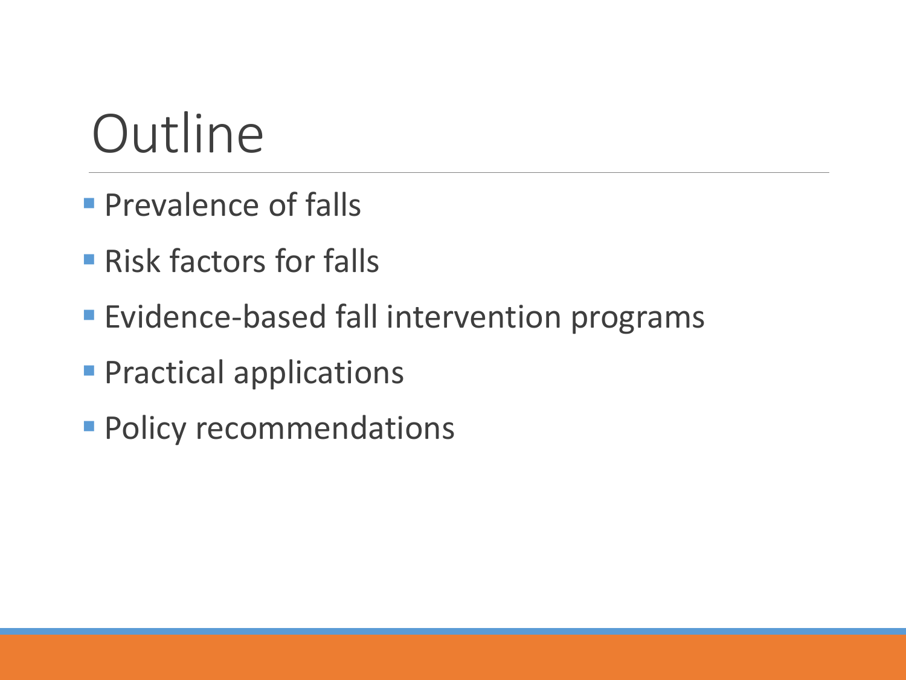### **Outline**

- **Prevalence of falls**
- **Risk factors for falls**
- **Evidence-based fall intervention programs**
- **Practical applications**
- **Policy recommendations**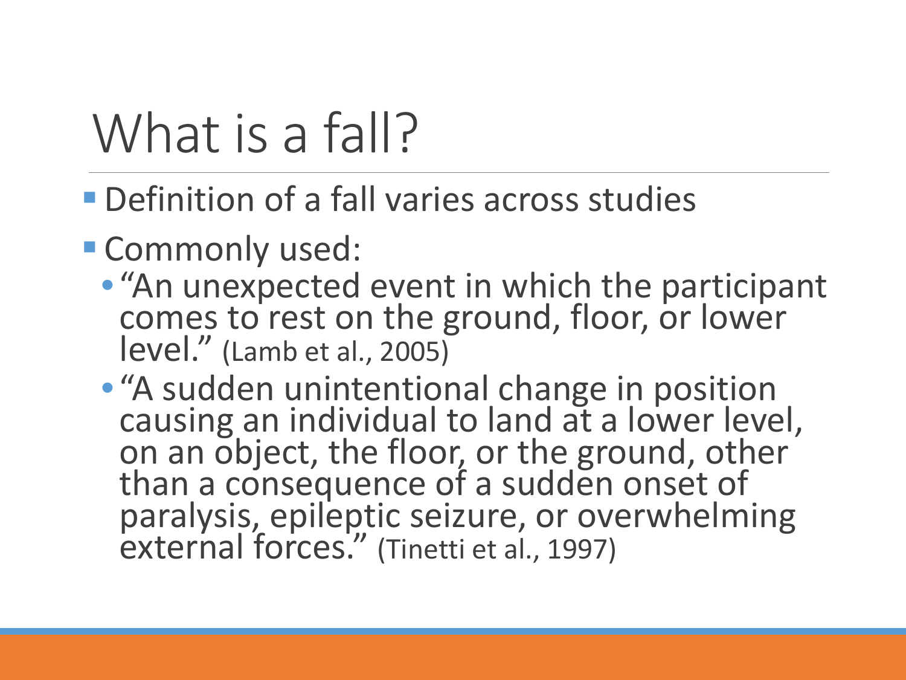# What is a fall?

- **Definition of a fall varies across studies**
- **Commonly used:** 
	- "An unexpected event in which the participant comes to rest on the ground, floor, or lower level." (Lamb et al., 2005)
	- "A sudden unintentional change in position causing an individual to land at a lower level, on an object, the floor, or the ground, other than a consequence of a sudden onset of paralysis, epileptic seizure, or overwhelming external forces." (Tinetti et al., 1997)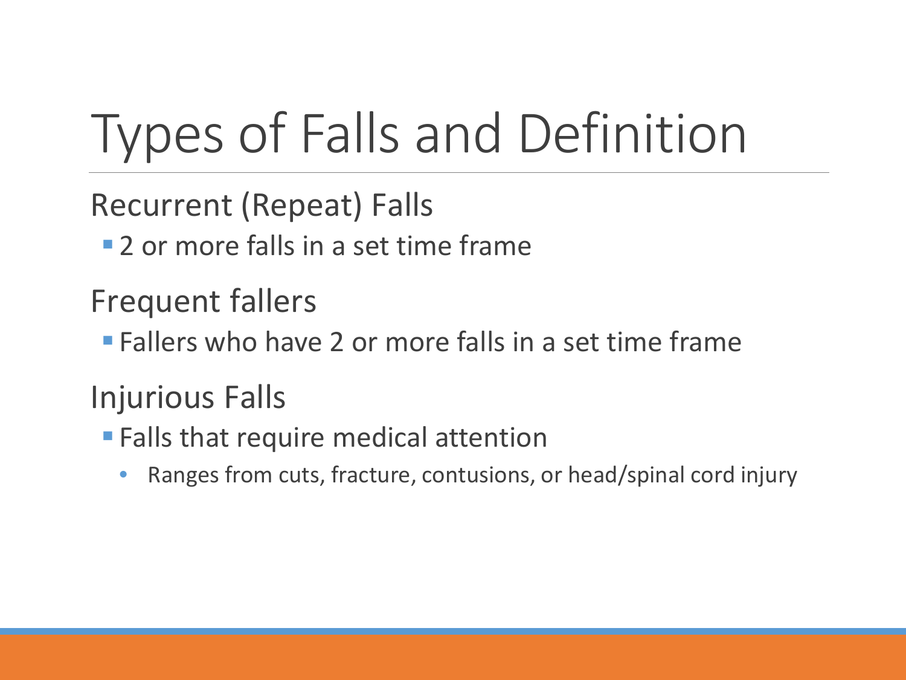# Types of Falls and Definition

Recurrent (Repeat) Falls

**2** or more falls in a set time frame

Frequent fallers

**Fallers who have 2 or more falls in a set time frame** 

Injurious Falls

- **Falls that require medical attention** 
	- Ranges from cuts, fracture, contusions, or head/spinal cord injury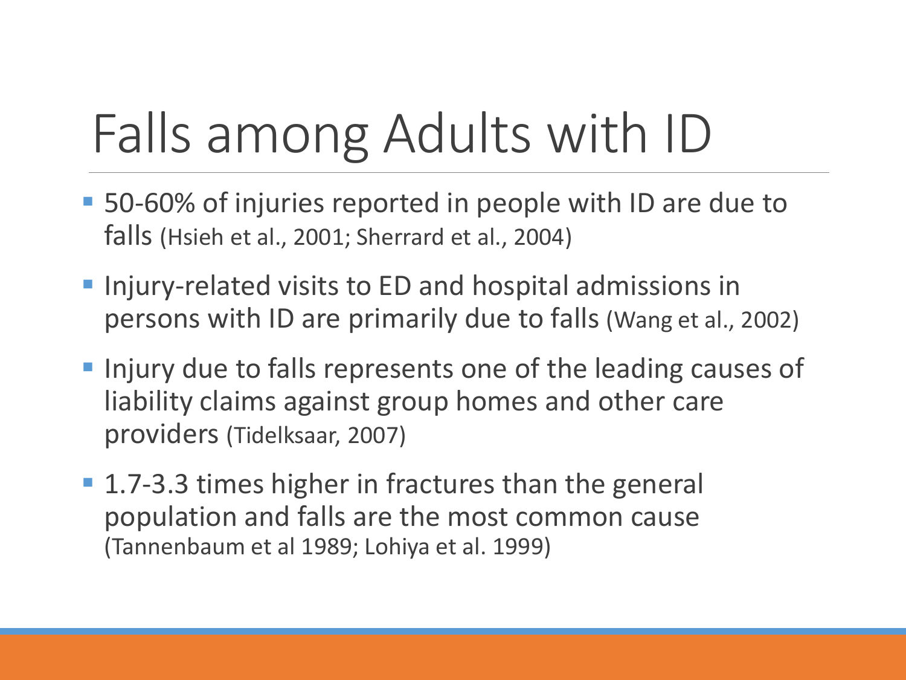# Falls among Adults with ID

- 50-60% of injuries reported in people with ID are due to falls (Hsieh et al., 2001; Sherrard et al., 2004)
- **Injury-related visits to ED and hospital admissions in** persons with ID are primarily due to falls (Wang et al., 2002)
- **Injury due to falls represents one of the leading causes of** liability claims against group homes and other care providers (Tidelksaar, 2007)
- 1.7-3.3 times higher in fractures than the general population and falls are the most common cause (Tannenbaum et al 1989; Lohiya et al. 1999)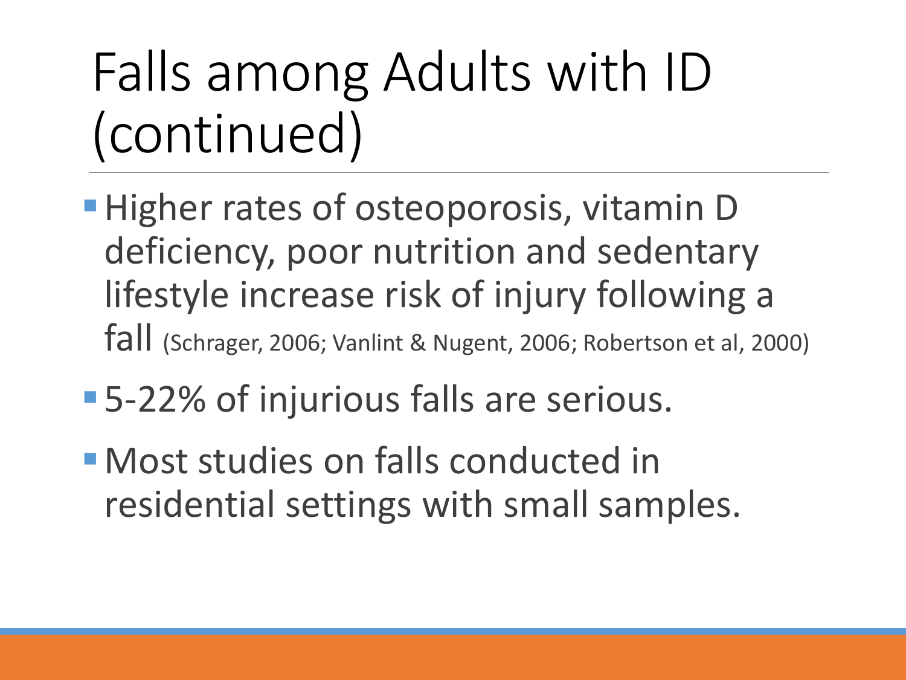# Falls among Adults with ID (continued)

- **Higher rates of osteoporosis, vitamin D** deficiency, poor nutrition and sedentary lifestyle increase risk of injury following a fall (Schrager, 2006; Vanlint & Nugent, 2006; Robertson et al, 2000)
- 5-22% of injurious falls are serious.
- Most studies on falls conducted in residential settings with small samples.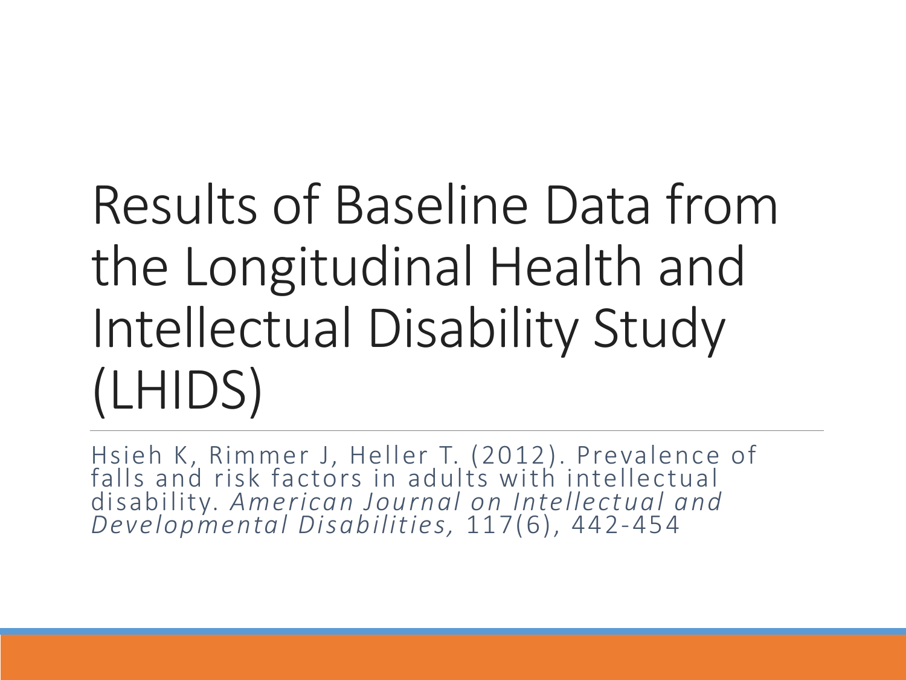# Results of Baseline Data from the Longitudinal Health and Intellectual Disability Study (LHIDS)

Hsieh K, Rimmer J, Heller T. (2012). Prevalence of falls and risk factors in adults with intellectual disability. *American Journal on Intellectual and Developmental Disabilities,* 117(6), 442-454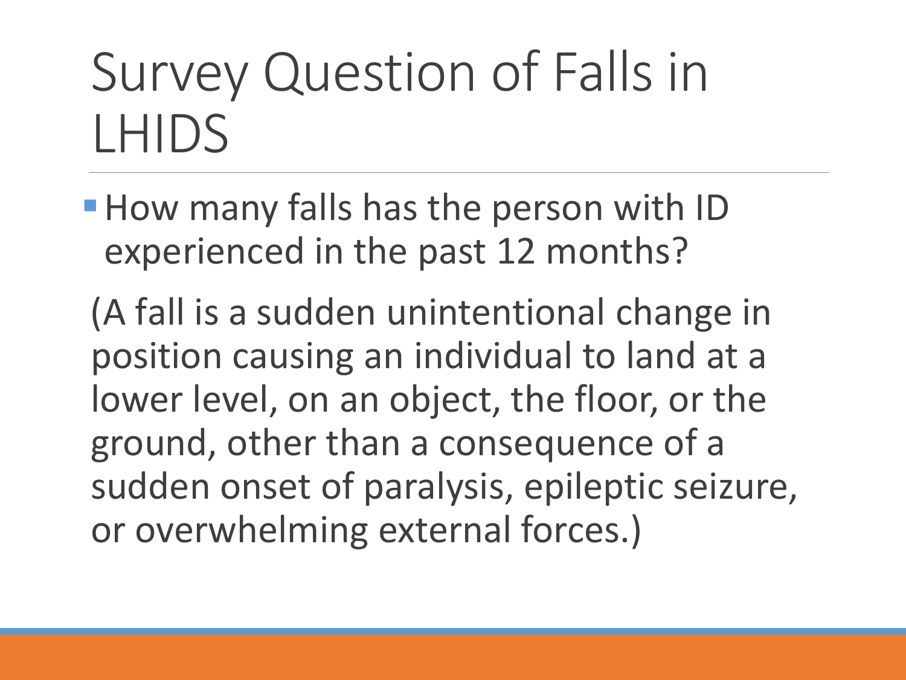# Survey Question of Falls in LHIDS

**How many falls has the person with ID** experienced in the past 12 months?

(A fall is a sudden unintentional change in position causing an individual to land at a lower level, on an object, the floor, or the ground, other than a consequence of a sudden onset of paralysis, epileptic seizure, or overwhelming external forces.)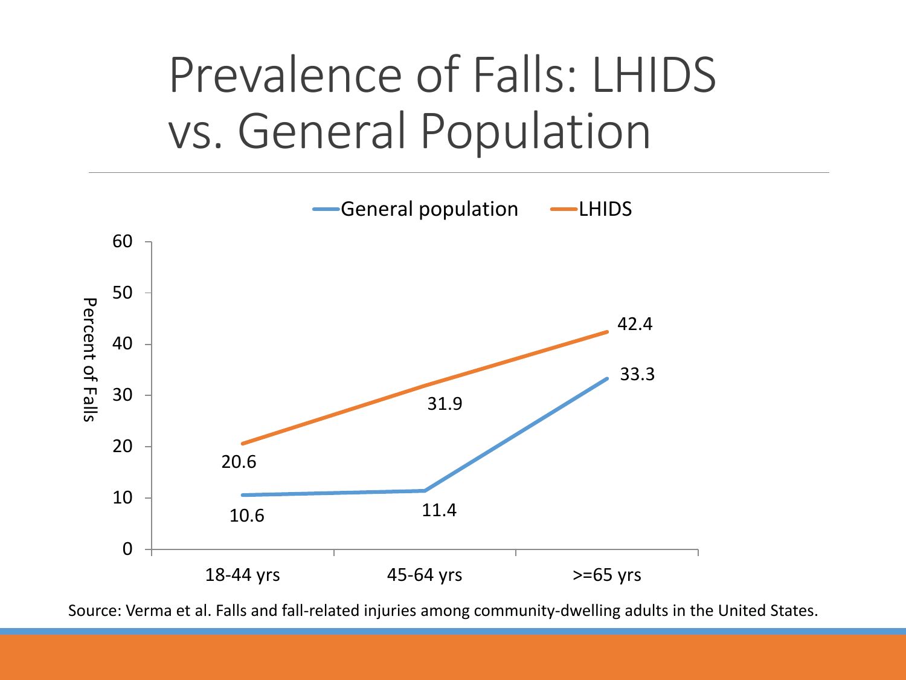#### Prevalence of Falls: LHIDS vs. General Population



Source: Verma et al. Falls and fall-related injuries among community-dwelling adults in the United States.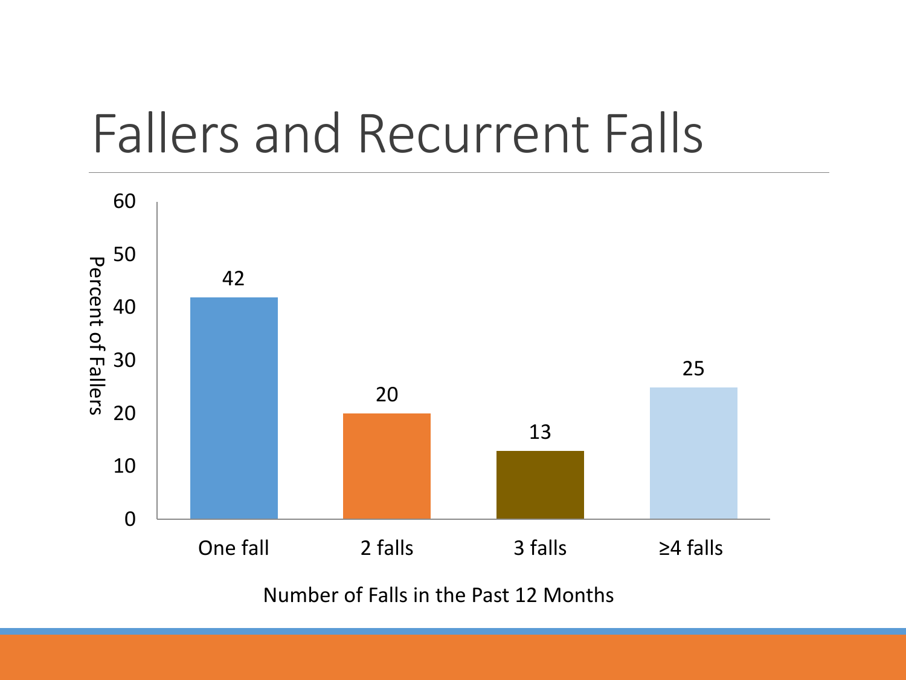### Fallers and Recurrent Falls



Number of Falls in the Past 12 Months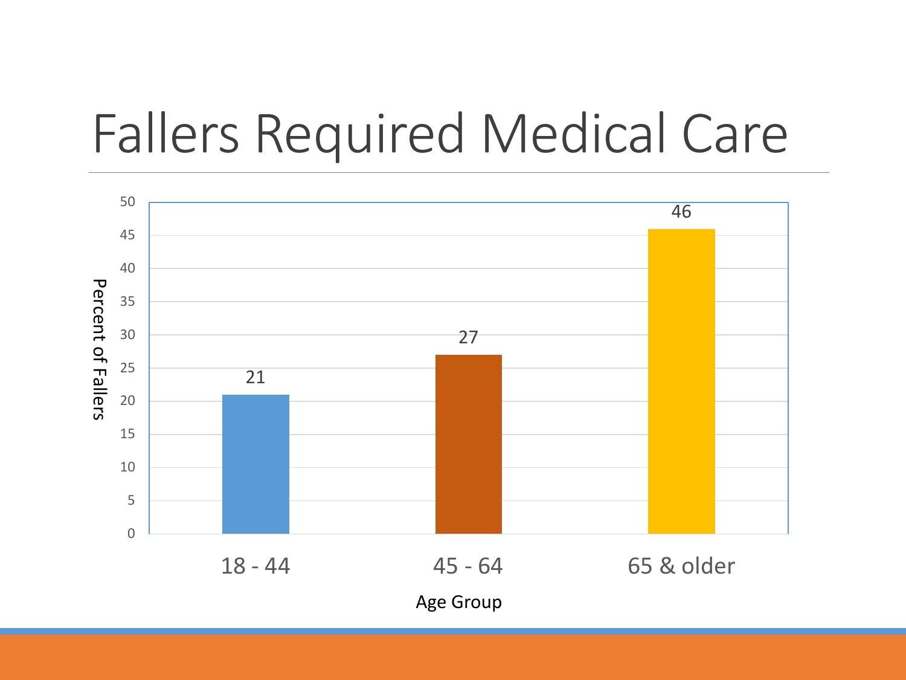### Fallers Required Medical Care

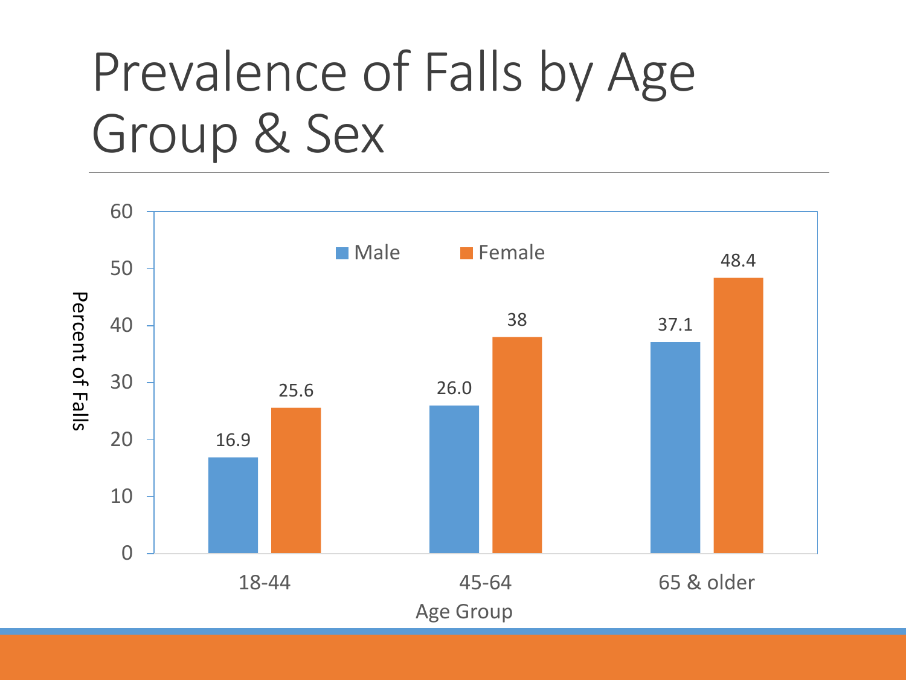### Prevalence of Falls by Age Group & Sex

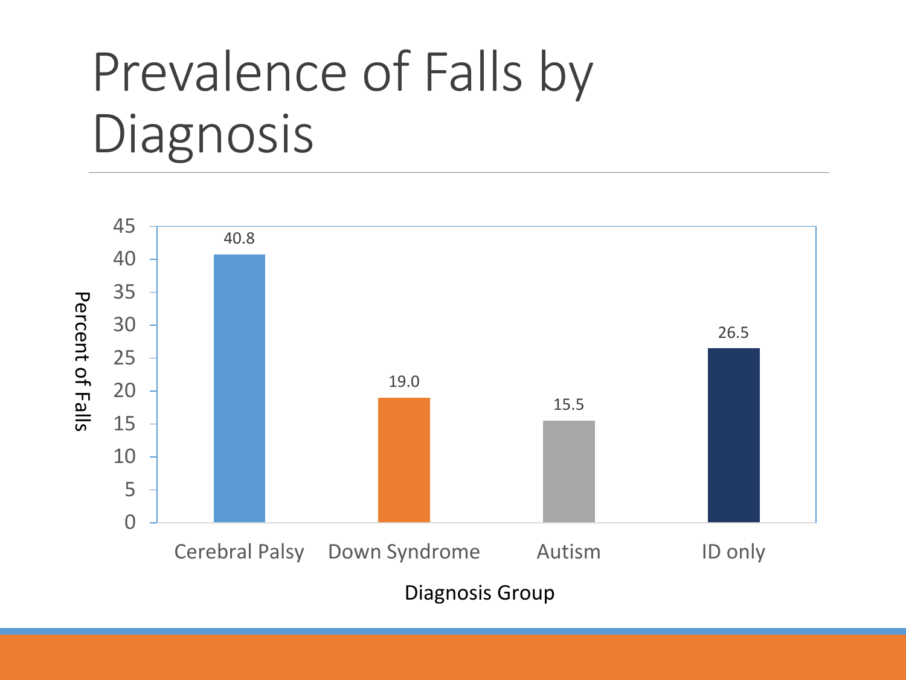# Prevalence of Falls by Diagnosis

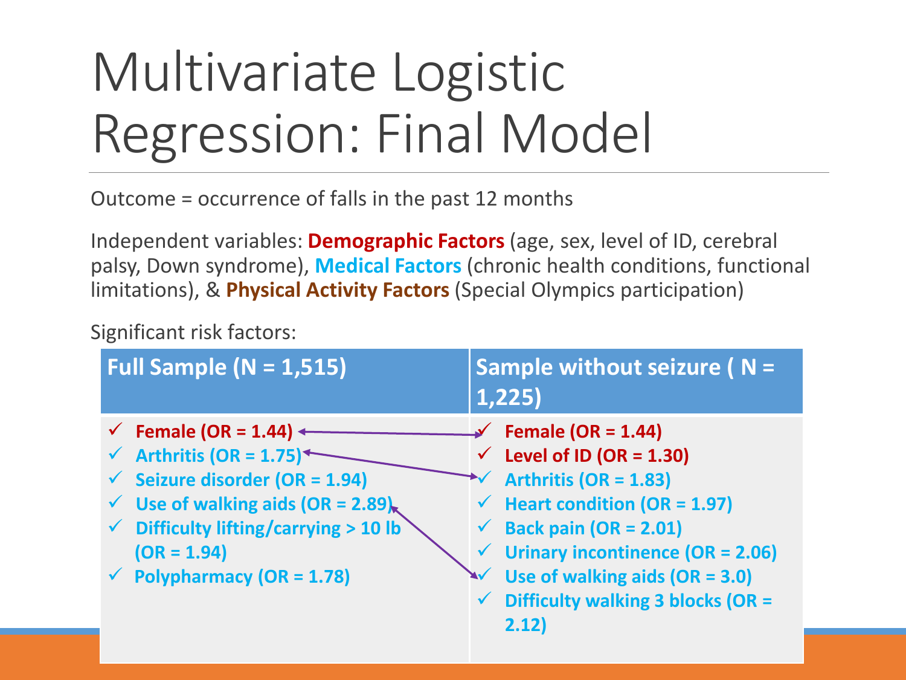# Multivariate Logistic Regression: Final Model

Outcome = occurrence of falls in the past 12 months

Independent variables: **Demographic Factors** (age, sex, level of ID, cerebral palsy, Down syndrome), **Medical Factors** (chronic health conditions, functional limitations), & **Physical Activity Factors** (Special Olympics participation)

Significant risk factors:

| Full Sample ( $N = 1,515$ )                                                                                                                                                                                                                                                                      | Sample without seizure $\overline{N}$ =<br>1,225)                                                                                                                                                                                                                                                                                          |
|--------------------------------------------------------------------------------------------------------------------------------------------------------------------------------------------------------------------------------------------------------------------------------------------------|--------------------------------------------------------------------------------------------------------------------------------------------------------------------------------------------------------------------------------------------------------------------------------------------------------------------------------------------|
| $\checkmark$ Female (OR = 1.44) $\checkmark$<br>Arthritis (OR = $1.75$ )<br>$\checkmark$ Seizure disorder (OR = 1.94)<br>$\checkmark$ Use of walking aids (OR = 2.89) <sub>k</sub><br>$\checkmark$ Difficulty lifting/carrying > 10 lb<br>$(OR = 1.94)$<br>$\checkmark$ Polypharmacy (OR = 1.78) | $\sqrt{}$ Female (OR = 1.44)<br>$\checkmark$ Level of ID (OR = 1.30)<br>Arthritis (OR = $1.83$ )<br>$\checkmark$ Heart condition (OR = 1.97)<br>$\checkmark$ Back pain (OR = 2.01)<br>$\checkmark$ Urinary incontinence (OR = 2.06)<br>$\sqrt{ }$ Use of walking aids (OR = 3.0)<br>$\checkmark$ Difficulty walking 3 blocks (OR =<br>2.12 |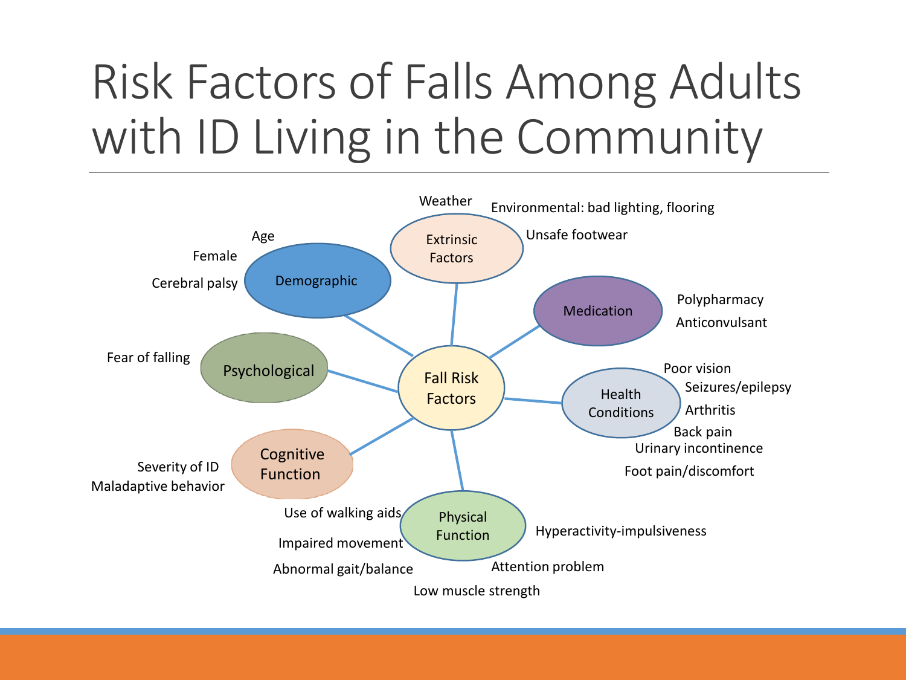#### Risk Factors of Falls Among Adults with ID Living in the Community

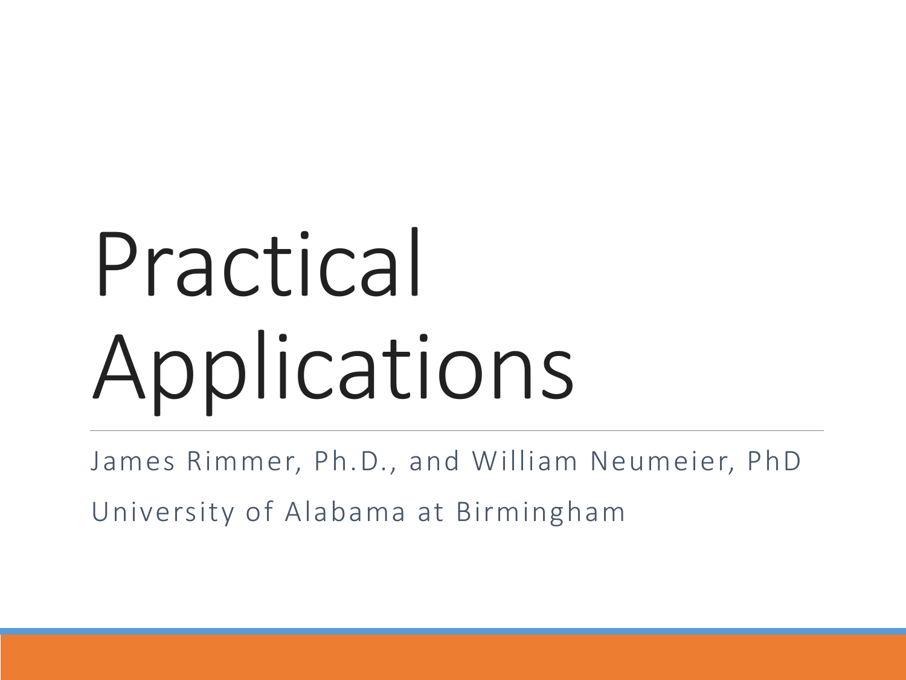# Practical Applications

James Rimmer, Ph.D., and William Neumeier, PhD

University of Alabama at Birmingham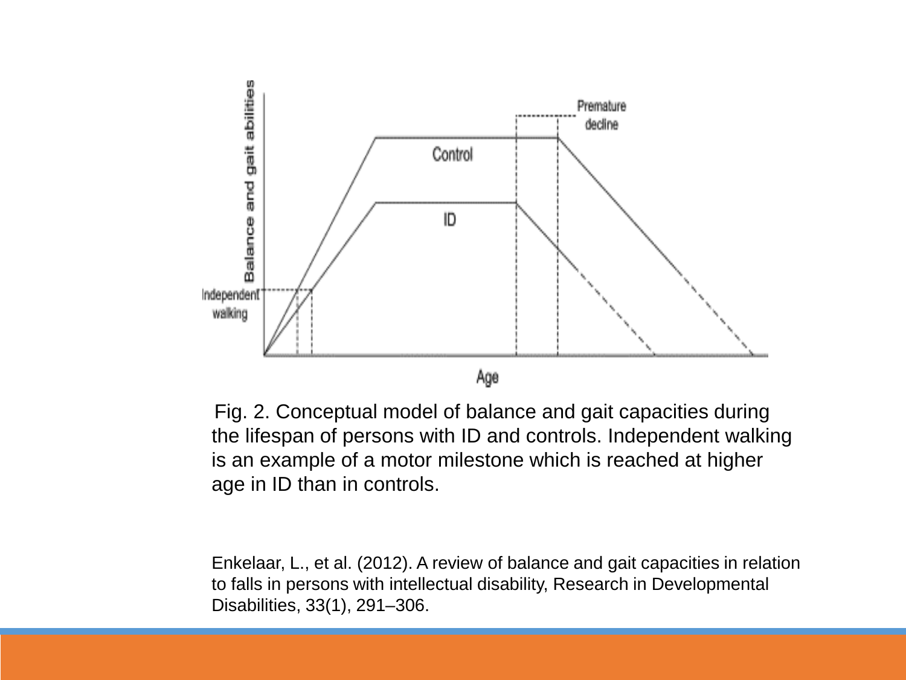

Fig. 2. Conceptual model of balance and gait capacities during the lifespan of persons with ID and controls. Independent walking is an example of a motor milestone which is reached at higher age in ID than in controls.

Enkelaar, L., et al. (2012). A review of balance and gait capacities in relation to falls in persons with intellectual disability, Research in Developmental Disabilities, 33(1), 291–306.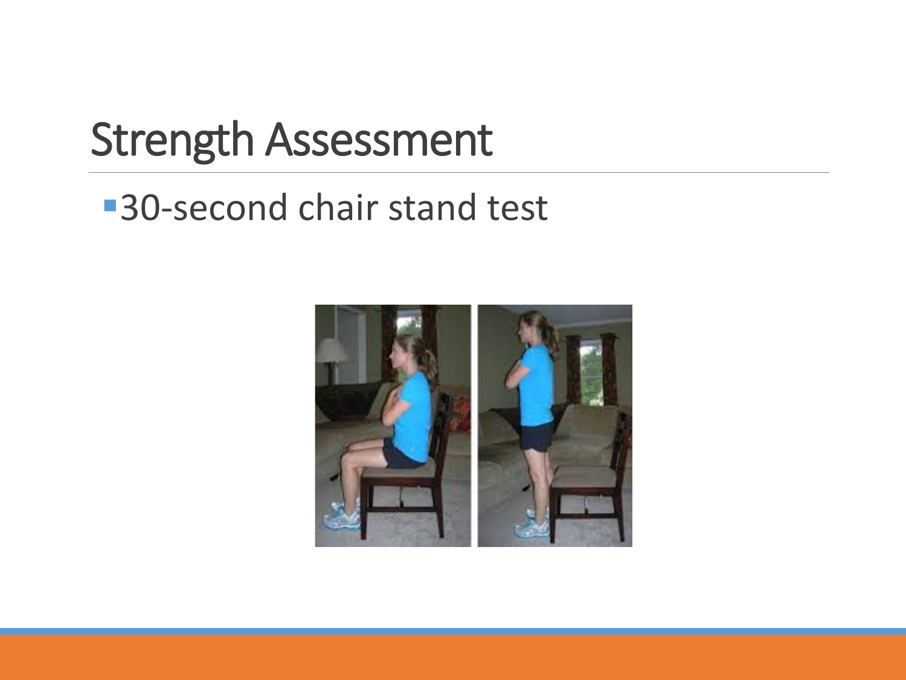#### Strength Assessment

#### ■30-second chair stand test

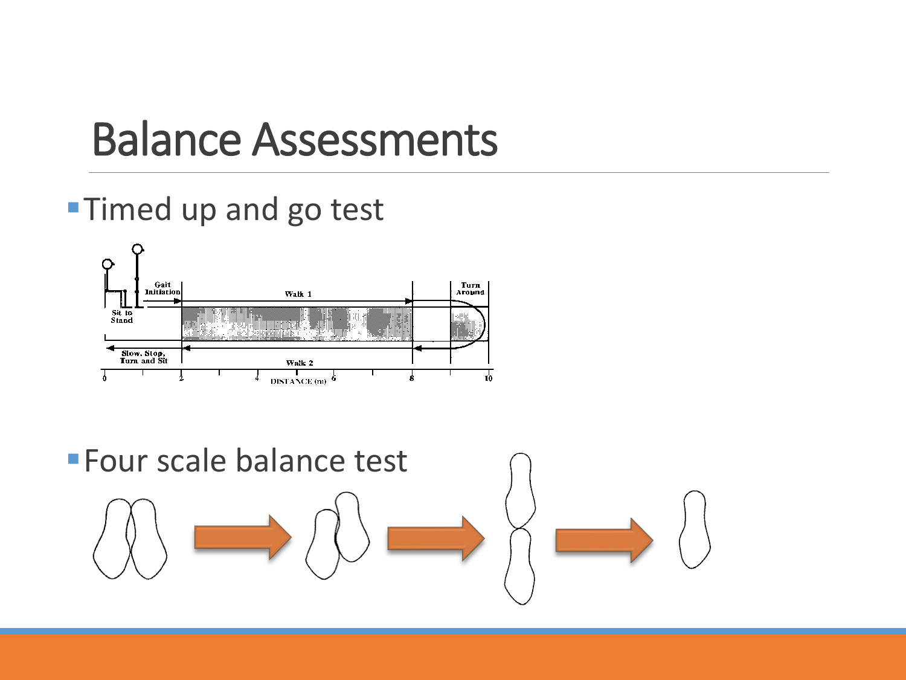#### Balance Assessments

#### **Timed up and go test**



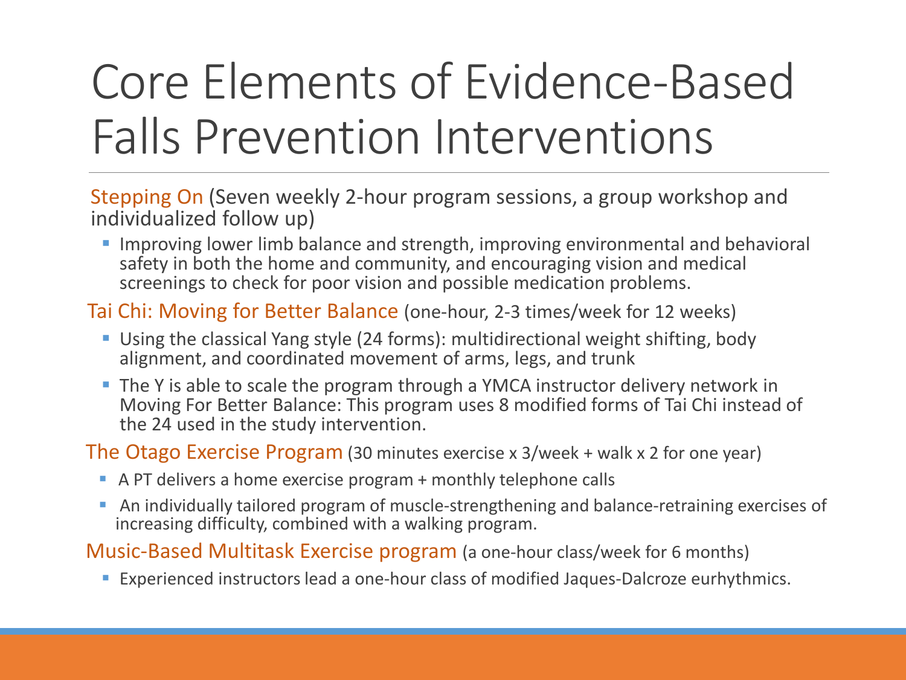### Core Elements of Evidence-Based Falls Prevention Interventions

Stepping On (Seven weekly 2-hour program sessions, a group workshop and individualized follow up)

**Improving lower limb balance and strength, improving environmental and behavioral** safety in both the home and community, and encouraging vision and medical screenings to check for poor vision and possible medication problems.

Tai Chi: Moving for Better Balance (one-hour, 2-3 times/week for 12 weeks)

- Using the classical Yang style (24 forms): multidirectional weight shifting, body alignment, and coordinated movement of arms, legs, and trunk
- **The Y is able to scale the program through a YMCA instructor delivery network in** Moving For Better Balance: This program uses 8 modified forms of Tai Chi instead of the 24 used in the study intervention.

The Otago Exercise Program (30 minutes exercise x 3/week + walk x 2 for one year)

- A PT delivers a home exercise program + monthly telephone calls
- An individually tailored program of muscle-strengthening and balance-retraining exercises of increasing difficulty, combined with a walking program.

Music-Based Multitask Exercise program (a one-hour class/week for 6 months)

Experienced instructors lead a one-hour class of modified Jaques-Dalcroze eurhythmics.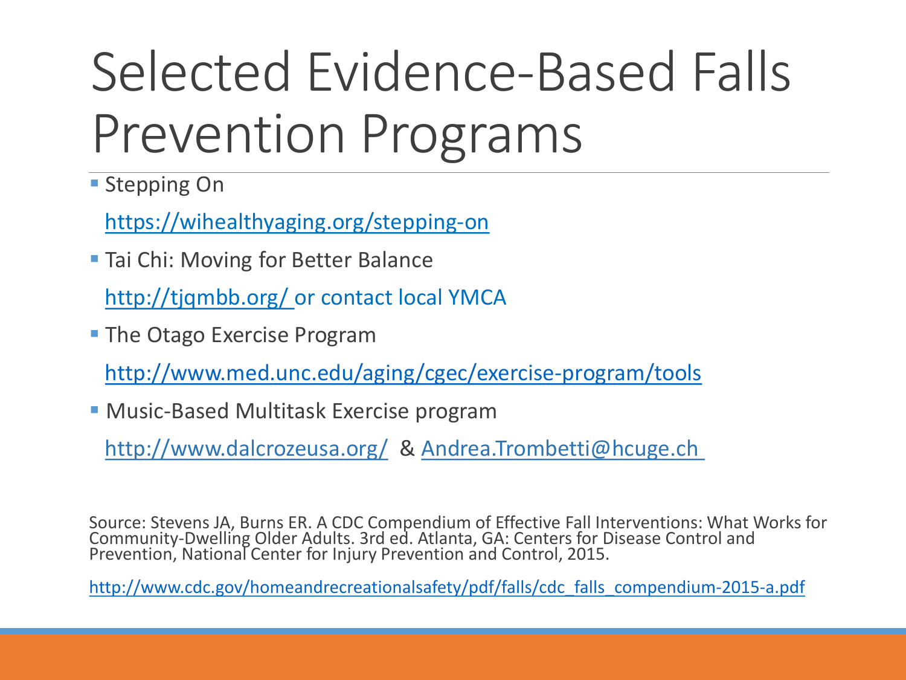# Selected Evidence-Based Falls Prevention Programs

**Stepping On** 

https://wihealthyaging.org/stepping-on

**Tai Chi: Moving for Better Balance** 

http://tjqmbb.org/ or contact local YMCA

**The Otago Exercise Program** 

<http://www.med.unc.edu/aging/cgec/exercise-program/tools>

Music-Based Multitask Exercise program

http://www.dalcrozeusa.org/ & Andrea.Trombetti@hcuge.ch

Source: Stevens JA, Burns ER. A CDC Compendium of Effective Fall Interventions: What Works for Community-Dwelling Older Adults. 3rd ed. Atlanta, GA: Centers for Disease Control and<br>Prevention, National Center for Injury Prevention and Control, 2015.

[http://www.cdc.gov/homeandrecreationalsafety/pdf/falls/cdc\\_falls\\_compendium-2015-a.pdf](http://www.cdc.gov/homeandrecreationalsafety/pdf/falls/cdc_falls_compendium-2015-a.pdf)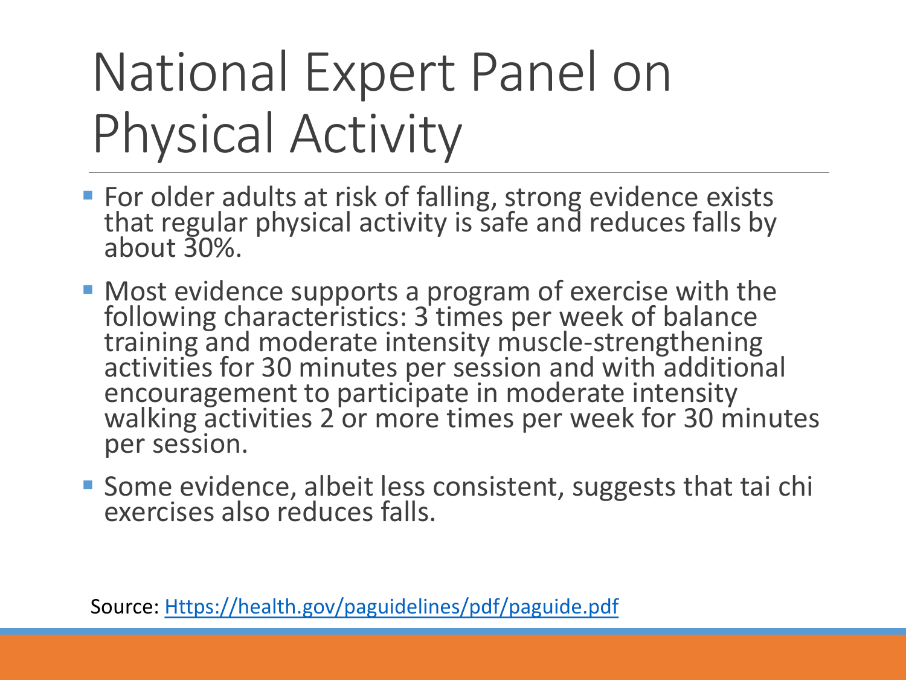# National Expert Panel on Physical Activity

- **For older adults at risk of falling, strong evidence exists** that regular physical activity is safe and reduces falls by about 30%.
- Most evidence supports a program of exercise with the following characteristics: 3 times per week of balance training and moderate intensity muscle-strengthening activities for 30 minutes per session and with additional encouragement to participate in moderate intensity walking activities 2 or more times per week for 30 minutes per session.
- Some evidence, albeit less consistent, suggests that tai chi exercises also reduces falls.

Source: [Https://health.gov/paguidelines/pdf/paguide.pdf](https://health.gov/paguidelines/pdf/paguide.pdf)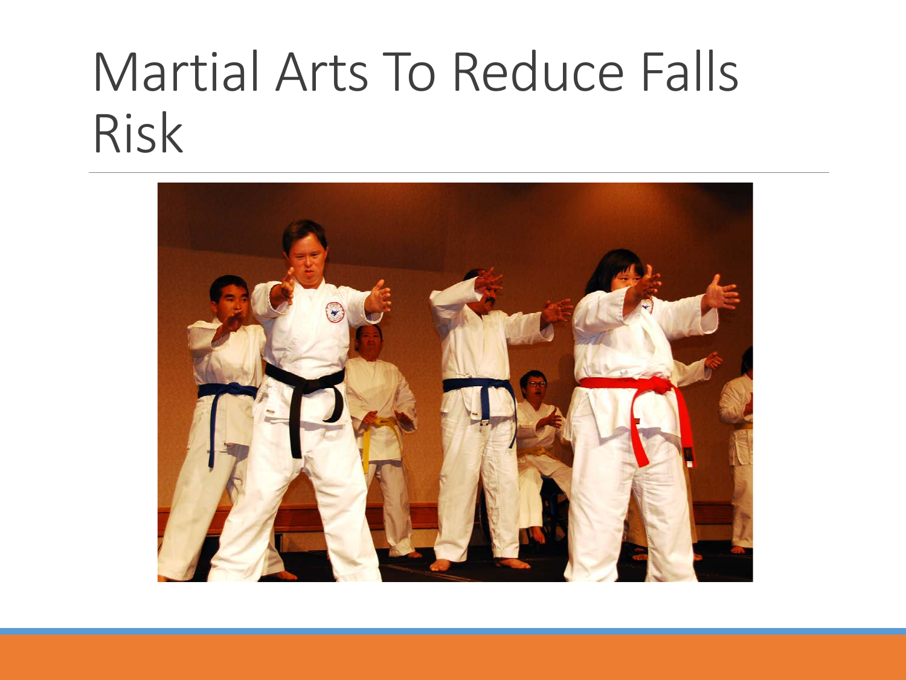### Martial Arts To Reduce Falls Risk

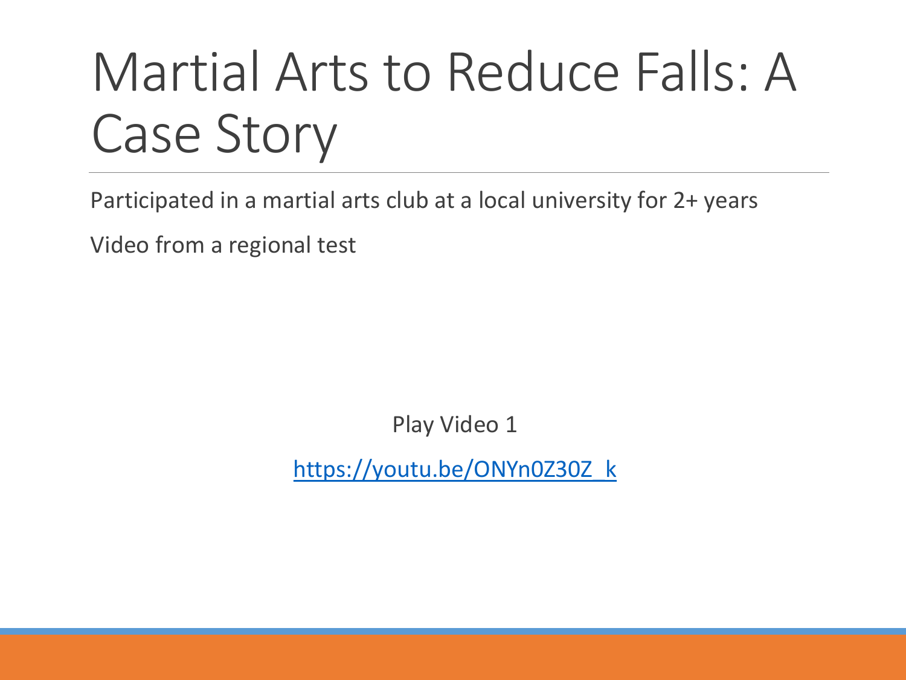# Martial Arts to Reduce Falls: A Case Story

Participated in a martial arts club at a local university for 2+ years

Video from a regional test

Play Video 1

[https://youtu.be/ONYn0Z30Z\\_k](https://youtu.be/ONYn0Z30Z_k)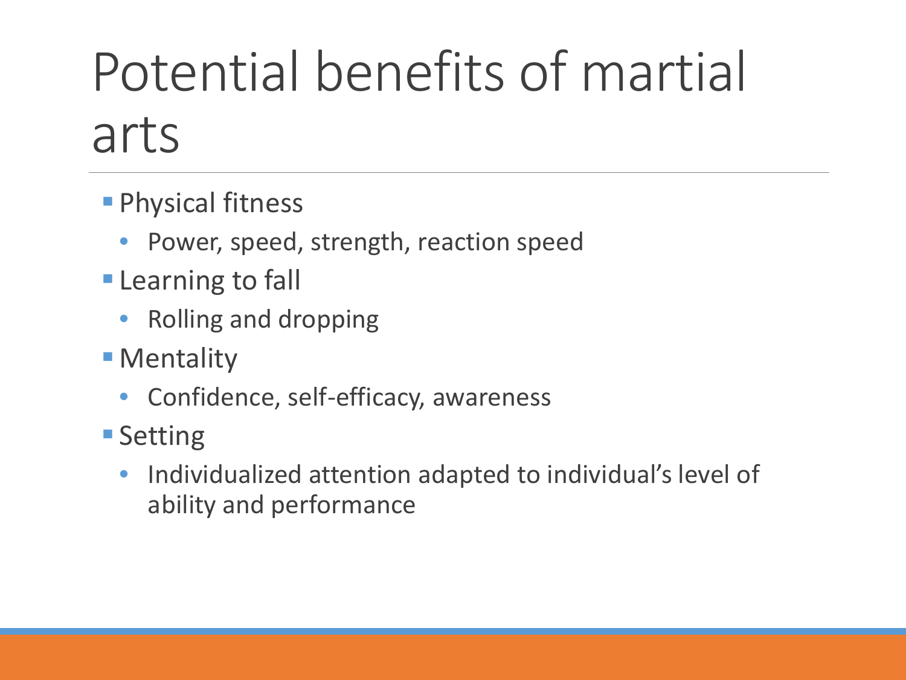# Potential benefits of martial arts

- **Physical fitness** 
	- Power, speed, strength, reaction speed
- **Learning to fall** 
	- Rolling and dropping
- **Mentality** 
	- Confidence, self-efficacy, awareness
- **Setting** 
	- Individualized attention adapted to individual's level of ability and performance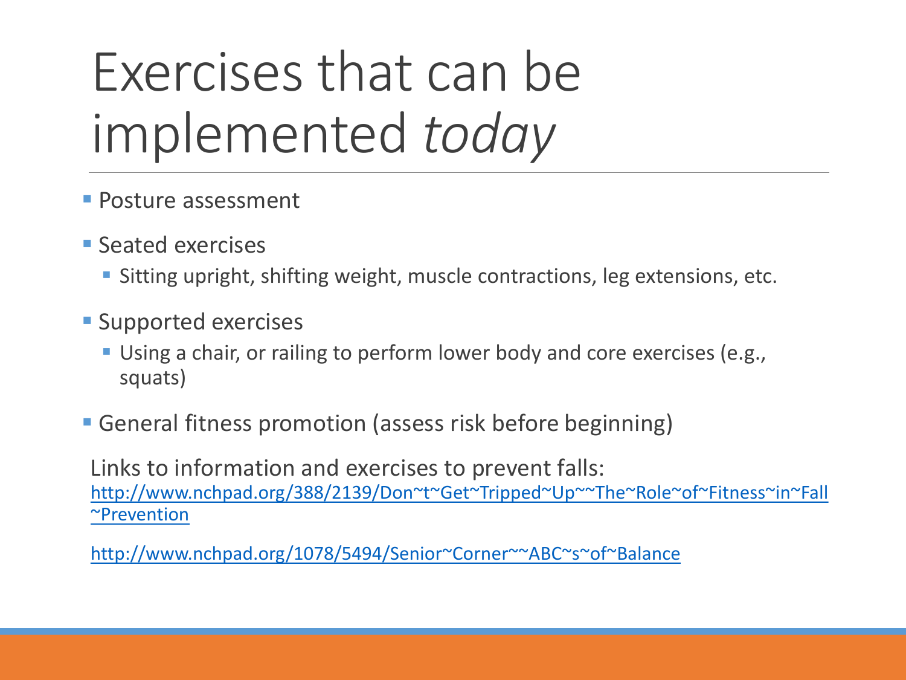# Exercises that can be implemented *today*

- **Posture assessment**
- **Seated exercises** 
	- Sitting upright, shifting weight, muscle contractions, leg extensions, etc.
- **Supported exercises** 
	- Using a chair, or railing to perform lower body and core exercises (e.g., squats)
- General fitness promotion (assess risk before beginning)

Links to information and exercises to prevent falls: [http://www.nchpad.org/388/2139/Don~t~Get~Tripped~Up~~The~Role~of~Fitness~in~Fall](http://www.nchpad.org/388/2139/Don%7Et%7EGet%7ETripped%7EUp%7E%7EThe%7ERole%7Eof%7EFitness%7Ein%7EFall%7EPrevention) ~Prevention

[http://www.nchpad.org/1078/5494/Senior~Corner~~ABC~s~of~Balance](http://www.nchpad.org/1078/5494/Senior%7ECorner%7E%7EABC%7Es%7Eof%7EBalance)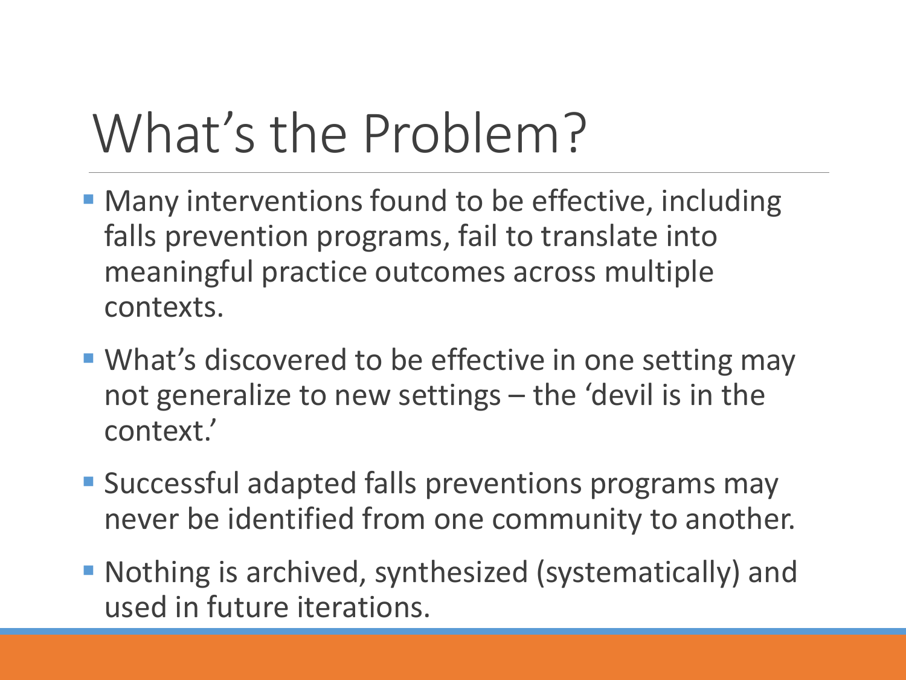# What's the Problem?

- **Many interventions found to be effective, including** falls prevention programs, fail to translate into meaningful practice outcomes across multiple contexts.
- What's discovered to be effective in one setting may not generalize to new settings – the 'devil is in the context.'
- **Successful adapted falls preventions programs may** never be identified from one community to another.
- Nothing is archived, synthesized (systematically) and used in future iterations.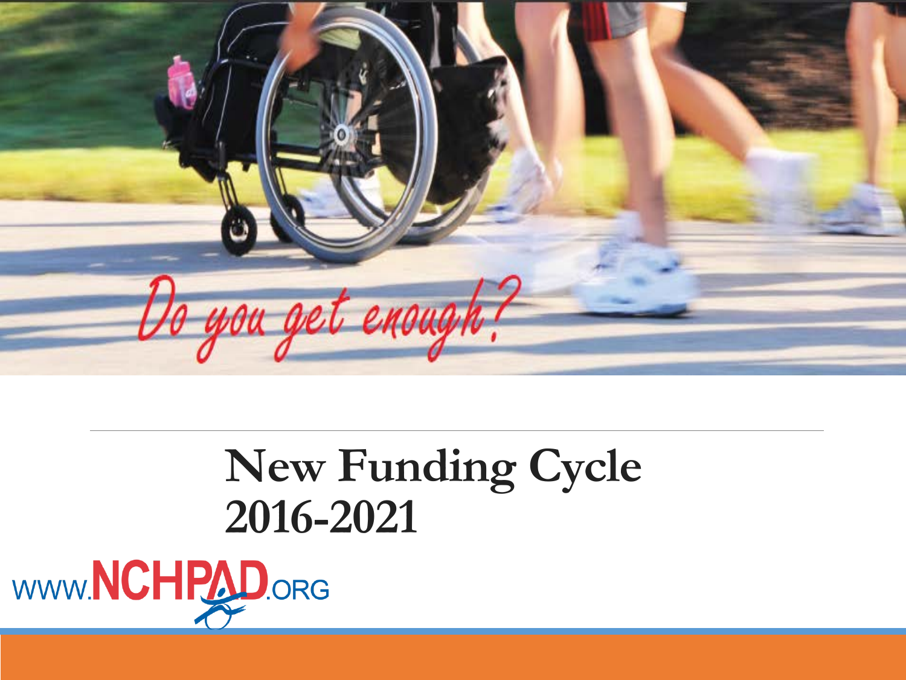

#### **New Funding Cycle 2016-2021**

WWW.NCHPAD.ORG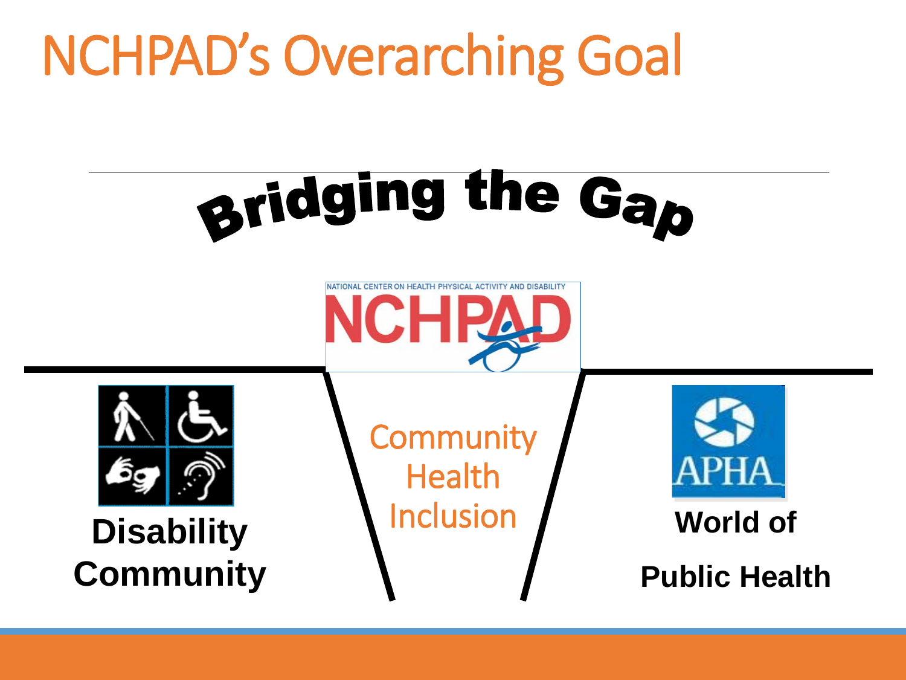# NCHPAD's Overarching Goal







**Disability Community** **Community** Health Inclusion



**World of** 

**Public Health**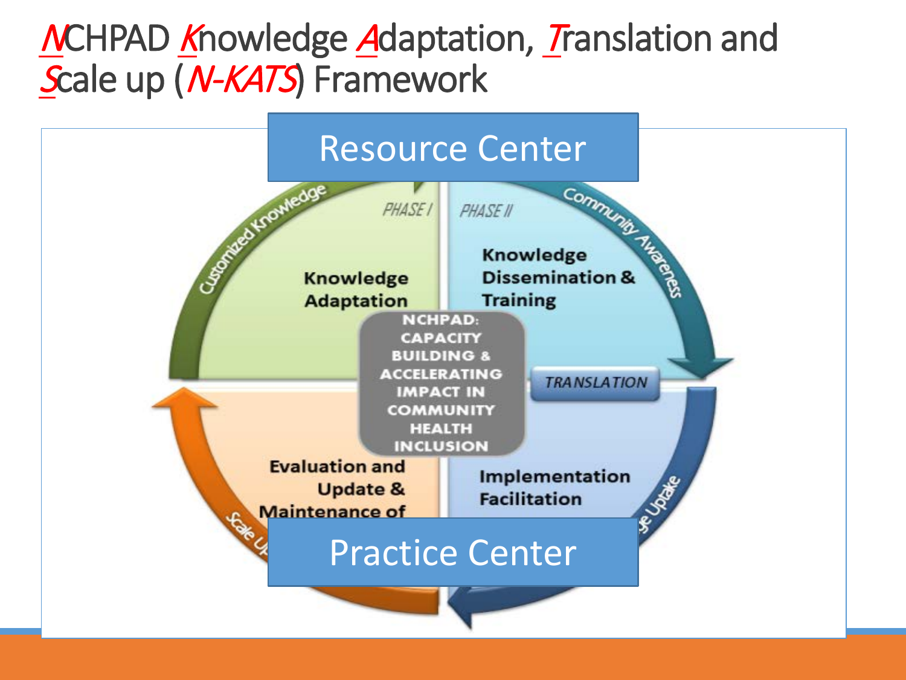#### MCHPAD Knowledge Adaptation, Translation and Scale up (N-KATS) Framework

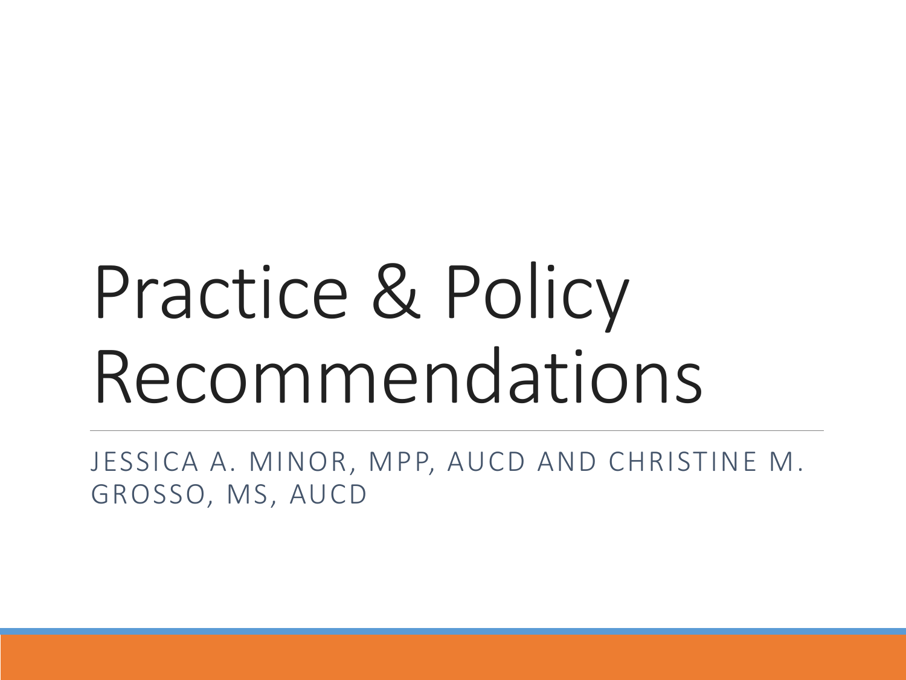# Practice & Policy Recommendations

JESSICA A. MINOR, MPP, AUCD AND CHRISTINE M. GROSSO, MS, AUCD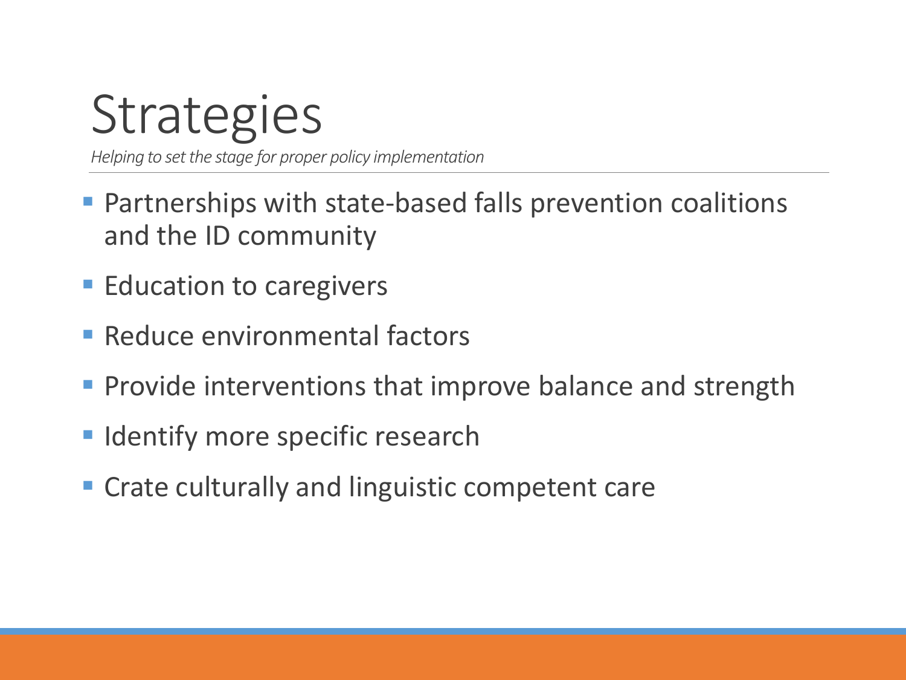# **Strategies**

*Helping to set the stage for proper policy implementation*

- **Partnerships with state-based falls prevention coalitions** and the ID community
- **Education to caregivers**
- **Reduce environmental factors**
- **Provide interventions that improve balance and strength**
- **Indentify more specific research**
- **Crate culturally and linguistic competent care**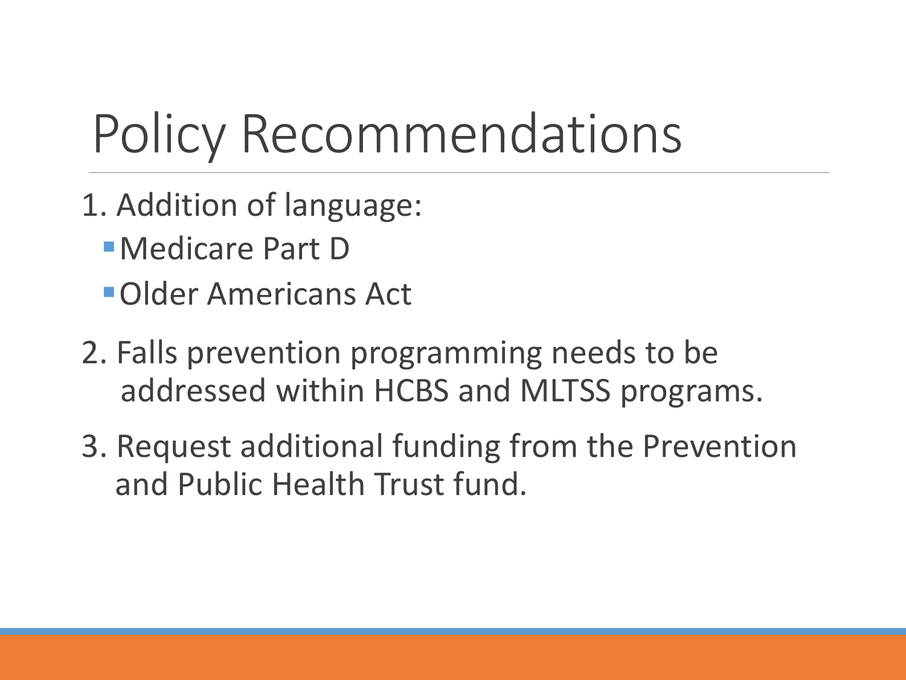# Policy Recommendations

- 1. Addition of language:
	- Medicare Part D
	- Older Americans Act
- 2. Falls prevention programming needs to be addressed within HCBS and MLTSS programs.
- 3. Request additional funding from the Prevention and Public Health Trust fund.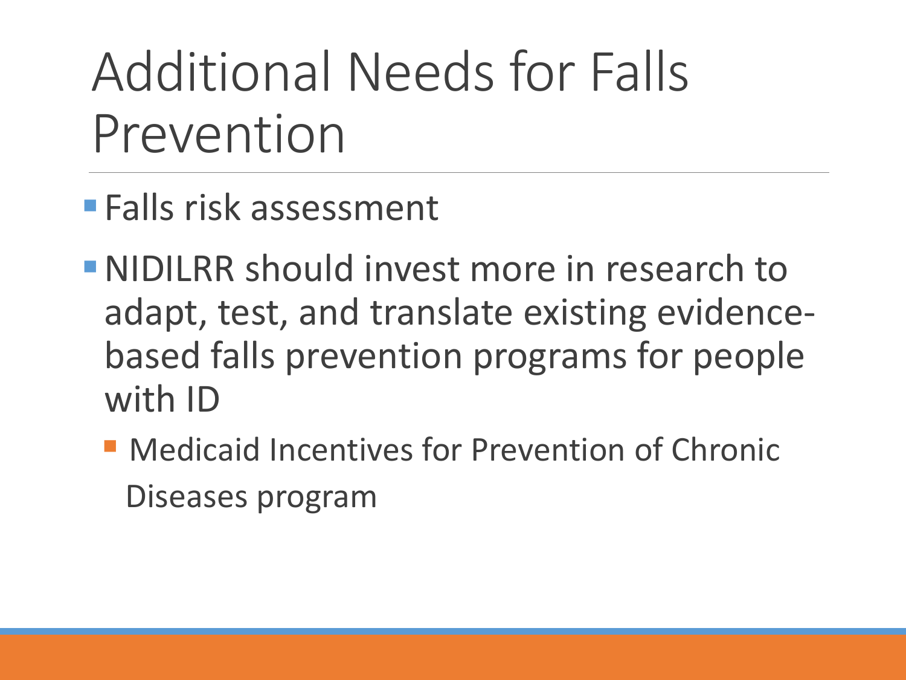# Additional Needs for Falls Prevention

- Falls risk assessment
- NIDILRR should invest more in research to adapt, test, and translate existing evidencebased falls prevention programs for people with ID
	- **Medicaid Incentives for Prevention of Chronic** Diseases program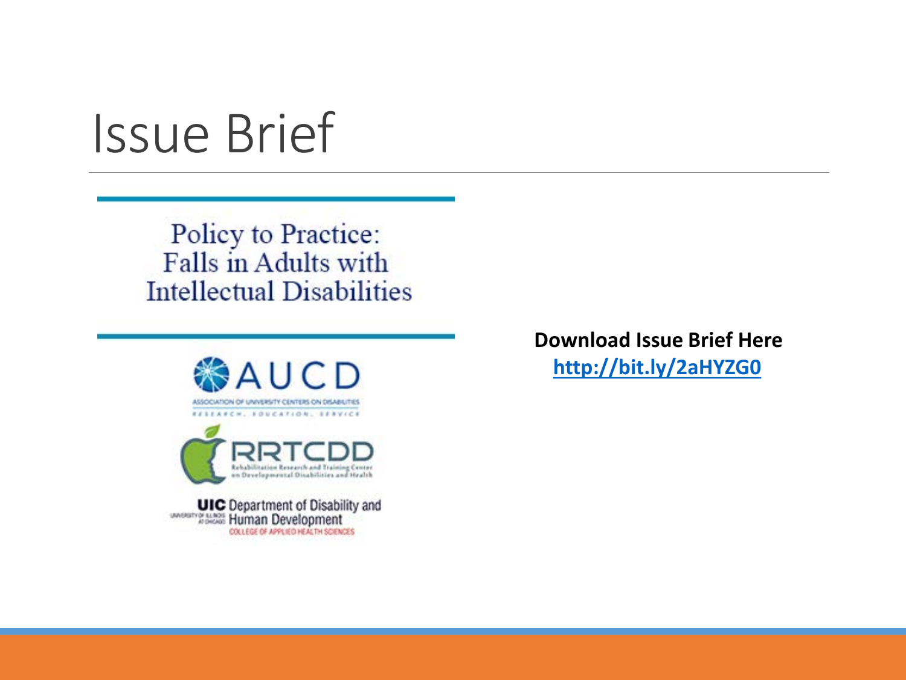### Issue Brief

Policy to Practice: Falls in Adults with **Intellectual Disabilities** 



**Download Issue Brief Here <http://bit.ly/2aHYZG0>**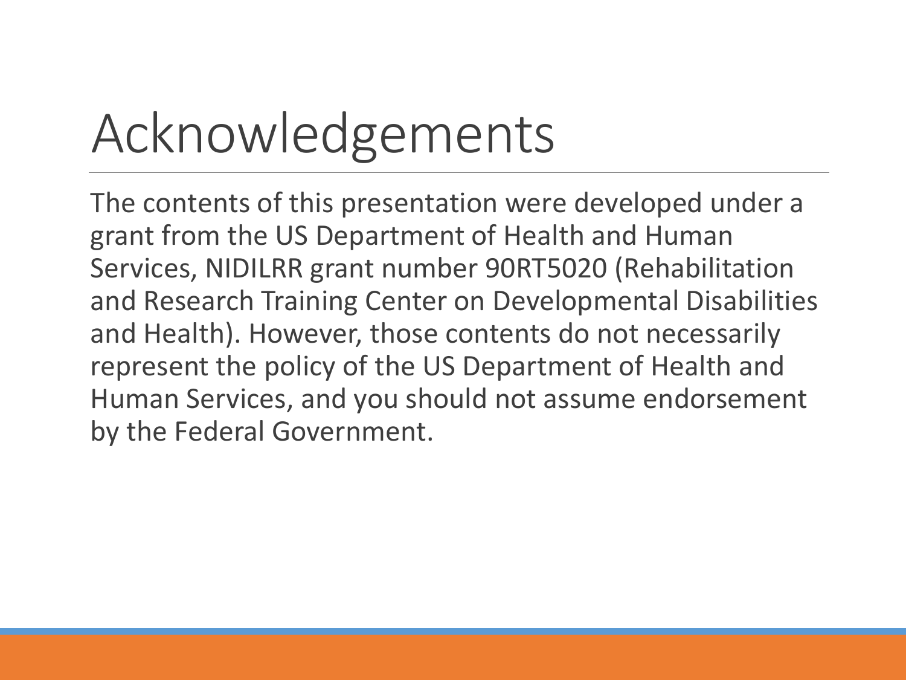# Acknowledgements

The contents of this presentation were developed under a grant from the US Department of Health and Human Services, NIDILRR grant number 90RT5020 (Rehabilitation and Research Training Center on Developmental Disabilities and Health). However, those contents do not necessarily represent the policy of the US Department of Health and Human Services, and you should not assume endorsement by the Federal Government.